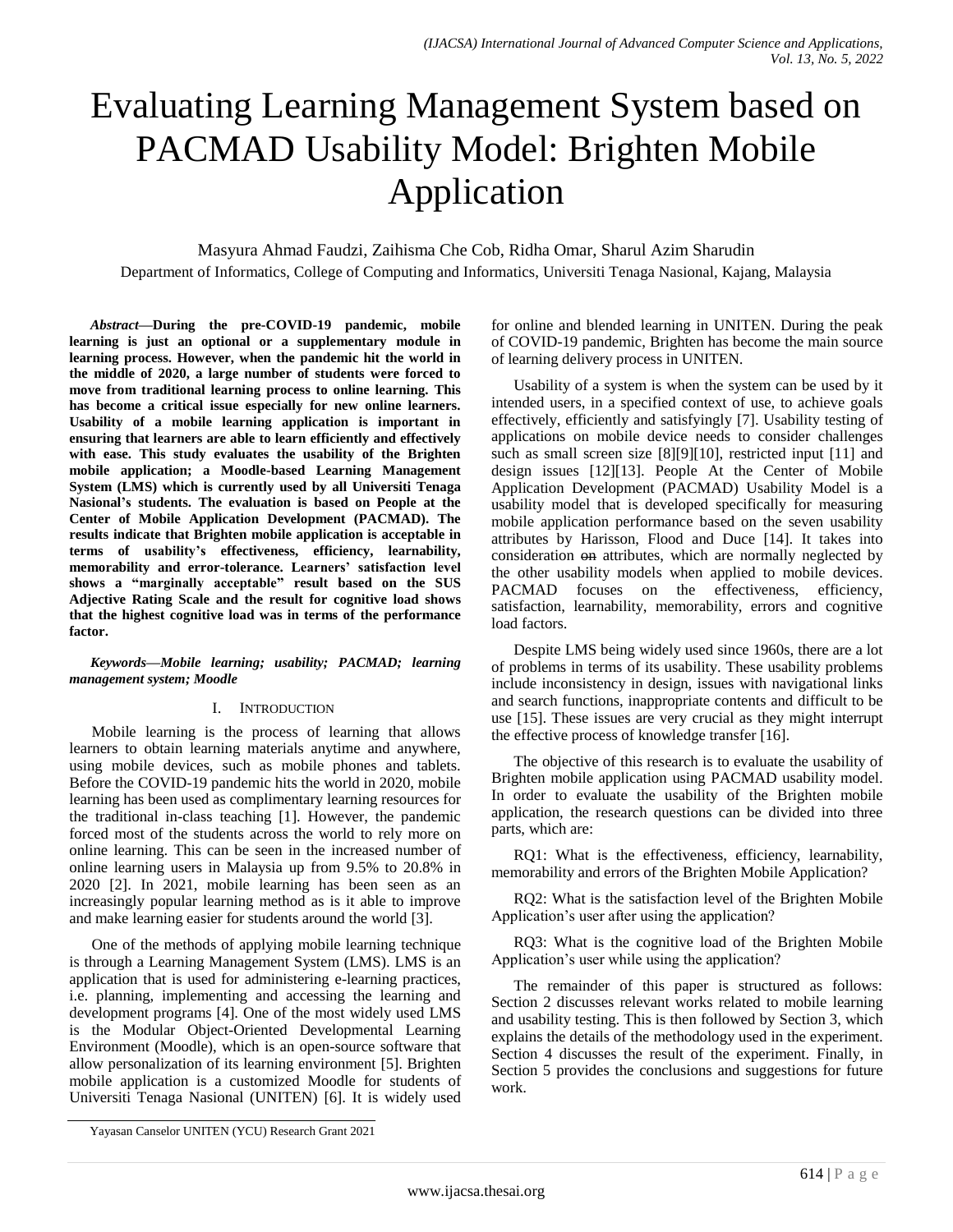# Evaluating Learning Management System based on PACMAD Usability Model: Brighten Mobile Application

Masyura Ahmad Faudzi, Zaihisma Che Cob, Ridha Omar, Sharul Azim Sharudin

Department of Informatics, College of Computing and Informatics, Universiti Tenaga Nasional, Kajang, Malaysia

*Abstract***—During the pre-COVID-19 pandemic, mobile learning is just an optional or a supplementary module in learning process. However, when the pandemic hit the world in the middle of 2020, a large number of students were forced to move from traditional learning process to online learning. This has become a critical issue especially for new online learners. Usability of a mobile learning application is important in ensuring that learners are able to learn efficiently and effectively with ease. This study evaluates the usability of the Brighten mobile application; a Moodle-based Learning Management System (LMS) which is currently used by all Universiti Tenaga Nasional's students. The evaluation is based on People at the Center of Mobile Application Development (PACMAD). The results indicate that Brighten mobile application is acceptable in terms of usability's effectiveness, efficiency, learnability, memorability and error-tolerance. Learners' satisfaction level shows a "marginally acceptable" result based on the SUS Adjective Rating Scale and the result for cognitive load shows that the highest cognitive load was in terms of the performance factor.**

## *Keywords—Mobile learning; usability; PACMAD; learning management system; Moodle*

## I. INTRODUCTION

Mobile learning is the process of learning that allows learners to obtain learning materials anytime and anywhere, using mobile devices, such as mobile phones and tablets. Before the COVID-19 pandemic hits the world in 2020, mobile learning has been used as complimentary learning resources for the traditional in-class teaching [1]. However, the pandemic forced most of the students across the world to rely more on online learning. This can be seen in the increased number of online learning users in Malaysia up from 9.5% to 20.8% in 2020 [2]. In 2021, mobile learning has been seen as an increasingly popular learning method as is it able to improve and make learning easier for students around the world [3].

One of the methods of applying mobile learning technique is through a Learning Management System (LMS). LMS is an application that is used for administering e-learning practices, i.e. planning, implementing and accessing the learning and development programs [4]. One of the most widely used LMS is the Modular Object-Oriented Developmental Learning Environment (Moodle), which is an open-source software that allow personalization of its learning environment [5]. Brighten mobile application is a customized Moodle for students of Universiti Tenaga Nasional (UNITEN) [6]. It is widely used for online and blended learning in UNITEN. During the peak of COVID-19 pandemic, Brighten has become the main source of learning delivery process in UNITEN.

Usability of a system is when the system can be used by it intended users, in a specified context of use, to achieve goals effectively, efficiently and satisfyingly [7]. Usability testing of applications on mobile device needs to consider challenges such as small screen size [8][9][10], restricted input [11] and design issues [12][13]. People At the Center of Mobile Application Development (PACMAD) Usability Model is a usability model that is developed specifically for measuring mobile application performance based on the seven usability attributes by Harisson, Flood and Duce [14]. It takes into consideration on attributes, which are normally neglected by the other usability models when applied to mobile devices. PACMAD focuses on the effectiveness, efficiency, satisfaction, learnability, memorability, errors and cognitive load factors.

Despite LMS being widely used since 1960s, there are a lot of problems in terms of its usability. These usability problems include inconsistency in design, issues with navigational links and search functions, inappropriate contents and difficult to be use [15]. These issues are very crucial as they might interrupt the effective process of knowledge transfer [16].

The objective of this research is to evaluate the usability of Brighten mobile application using PACMAD usability model. In order to evaluate the usability of the Brighten mobile application, the research questions can be divided into three parts, which are:

RQ1: What is the effectiveness, efficiency, learnability, memorability and errors of the Brighten Mobile Application?

RQ2: What is the satisfaction level of the Brighten Mobile Application's user after using the application?

RQ3: What is the cognitive load of the Brighten Mobile Application's user while using the application?

The remainder of this paper is structured as follows: Section 2 discusses relevant works related to mobile learning and usability testing. This is then followed by Section 3, which explains the details of the methodology used in the experiment. Section 4 discusses the result of the experiment. Finally, in Section 5 provides the conclusions and suggestions for future work.

Yayasan Canselor UNITEN (YCU) Research Grant 2021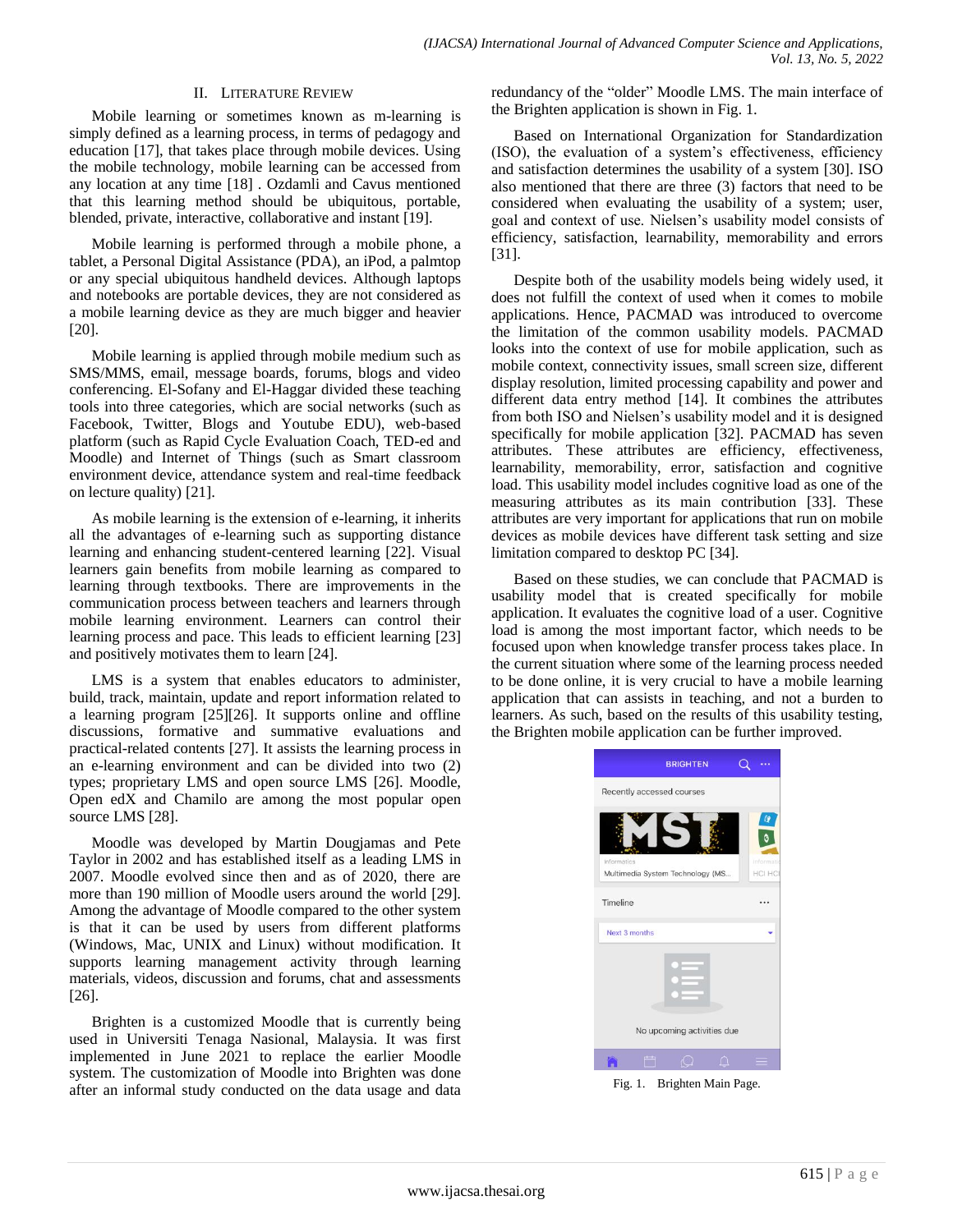# II. LITERATURE REVIEW

Mobile learning or sometimes known as m-learning is simply defined as a learning process, in terms of pedagogy and education [17], that takes place through mobile devices. Using the mobile technology, mobile learning can be accessed from any location at any time [18] . Ozdamli and Cavus mentioned that this learning method should be ubiquitous, portable, blended, private, interactive, collaborative and instant [19].

Mobile learning is performed through a mobile phone, a tablet, a Personal Digital Assistance (PDA), an iPod, a palmtop or any special ubiquitous handheld devices. Although laptops and notebooks are portable devices, they are not considered as a mobile learning device as they are much bigger and heavier [20].

Mobile learning is applied through mobile medium such as SMS/MMS, email, message boards, forums, blogs and video conferencing. El-Sofany and El-Haggar divided these teaching tools into three categories, which are social networks (such as Facebook, Twitter, Blogs and Youtube EDU), web-based platform (such as Rapid Cycle Evaluation Coach, TED-ed and Moodle) and Internet of Things (such as Smart classroom environment device, attendance system and real-time feedback on lecture quality) [21].

As mobile learning is the extension of e-learning, it inherits all the advantages of e-learning such as supporting distance learning and enhancing student-centered learning [22]. Visual learners gain benefits from mobile learning as compared to learning through textbooks. There are improvements in the communication process between teachers and learners through mobile learning environment. Learners can control their learning process and pace. This leads to efficient learning [23] and positively motivates them to learn [24].

LMS is a system that enables educators to administer, build, track, maintain, update and report information related to a learning program [25][26]. It supports online and offline discussions, formative and summative evaluations and practical-related contents [27]. It assists the learning process in an e-learning environment and can be divided into two (2) types; proprietary LMS and open source LMS [26]. Moodle, Open edX and Chamilo are among the most popular open source LMS [28].

Moodle was developed by Martin Dougjamas and Pete Taylor in 2002 and has established itself as a leading LMS in 2007. Moodle evolved since then and as of 2020, there are more than 190 million of Moodle users around the world [29]. Among the advantage of Moodle compared to the other system is that it can be used by users from different platforms (Windows, Mac, UNIX and Linux) without modification. It supports learning management activity through learning materials, videos, discussion and forums, chat and assessments [26].

Brighten is a customized Moodle that is currently being used in Universiti Tenaga Nasional, Malaysia. It was first implemented in June 2021 to replace the earlier Moodle system. The customization of Moodle into Brighten was done after an informal study conducted on the data usage and data redundancy of the "older" Moodle LMS. The main interface of the Brighten application is shown in Fig. 1.

Based on International Organization for Standardization (ISO), the evaluation of a system's effectiveness, efficiency and satisfaction determines the usability of a system [30]. ISO also mentioned that there are three (3) factors that need to be considered when evaluating the usability of a system; user, goal and context of use. Nielsen's usability model consists of efficiency, satisfaction, learnability, memorability and errors [31].

Despite both of the usability models being widely used, it does not fulfill the context of used when it comes to mobile applications. Hence, PACMAD was introduced to overcome the limitation of the common usability models. PACMAD looks into the context of use for mobile application, such as mobile context, connectivity issues, small screen size, different display resolution, limited processing capability and power and different data entry method [14]. It combines the attributes from both ISO and Nielsen's usability model and it is designed specifically for mobile application [32]. PACMAD has seven attributes. These attributes are efficiency, effectiveness, learnability, memorability, error, satisfaction and cognitive load. This usability model includes cognitive load as one of the measuring attributes as its main contribution [33]. These attributes are very important for applications that run on mobile devices as mobile devices have different task setting and size limitation compared to desktop PC [34].

Based on these studies, we can conclude that PACMAD is usability model that is created specifically for mobile application. It evaluates the cognitive load of a user. Cognitive load is among the most important factor, which needs to be focused upon when knowledge transfer process takes place. In the current situation where some of the learning process needed to be done online, it is very crucial to have a mobile learning application that can assists in teaching, and not a burden to learners. As such, based on the results of this usability testing, the Brighten mobile application can be further improved.



Fig. 1. Brighten Main Page.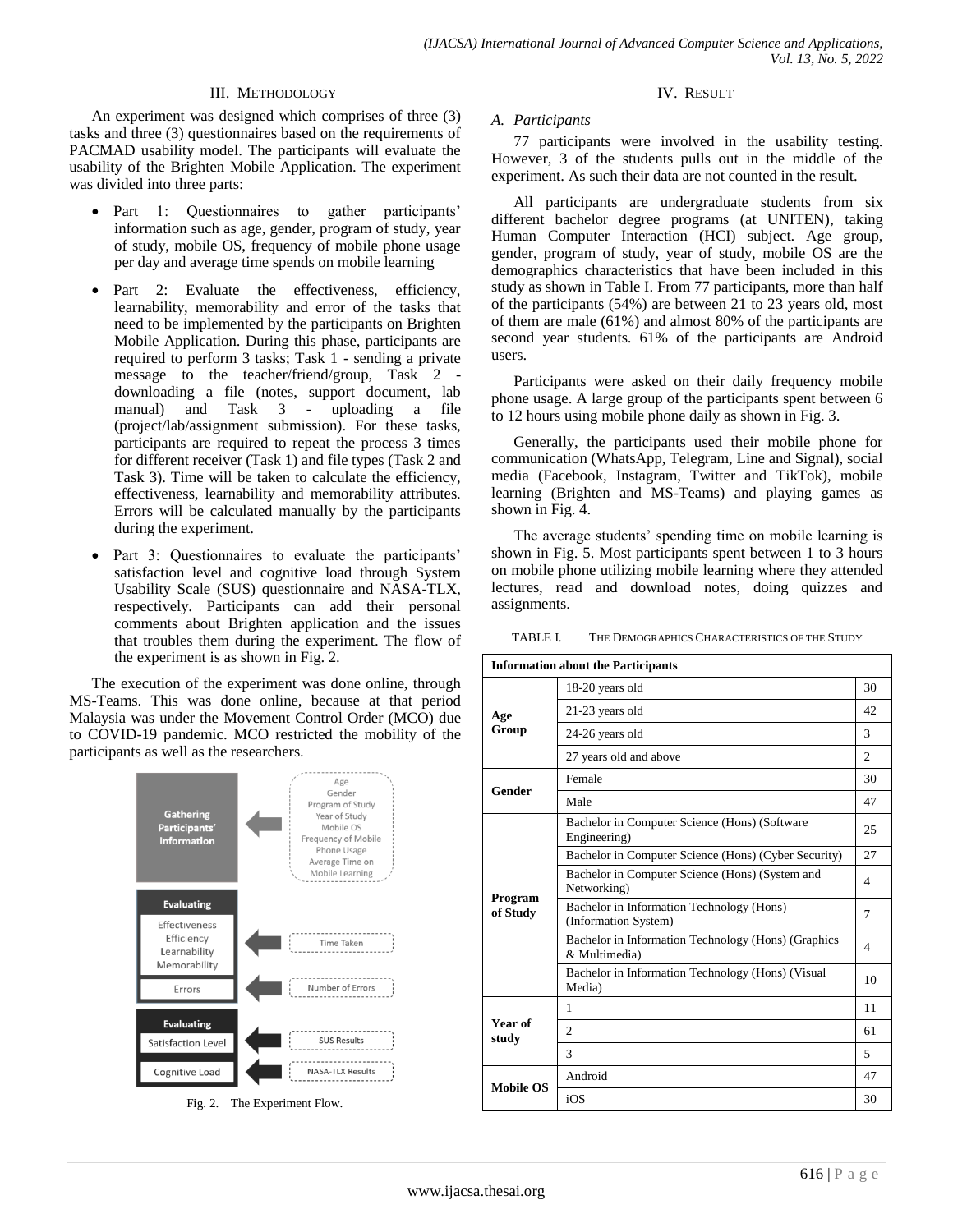# III. METHODOLOGY

An experiment was designed which comprises of three (3) tasks and three (3) questionnaires based on the requirements of PACMAD usability model. The participants will evaluate the usability of the Brighten Mobile Application. The experiment was divided into three parts:

- Part 1: Questionnaires to gather participants' information such as age, gender, program of study, year of study, mobile OS, frequency of mobile phone usage per day and average time spends on mobile learning
- Part 2: Evaluate the effectiveness, efficiency, learnability, memorability and error of the tasks that need to be implemented by the participants on Brighten Mobile Application. During this phase, participants are required to perform 3 tasks; Task 1 - sending a private message to the teacher/friend/group, Task 2 downloading a file (notes, support document, lab manual) and Task 3 - uploading a file (project/lab/assignment submission). For these tasks, participants are required to repeat the process 3 times for different receiver (Task 1) and file types (Task 2 and Task 3). Time will be taken to calculate the efficiency, effectiveness, learnability and memorability attributes. Errors will be calculated manually by the participants during the experiment.
- Part 3: Questionnaires to evaluate the participants' satisfaction level and cognitive load through System Usability Scale (SUS) questionnaire and NASA-TLX, respectively. Participants can add their personal comments about Brighten application and the issues that troubles them during the experiment. The flow of the experiment is as shown in Fig. 2.

The execution of the experiment was done online, through MS-Teams. This was done online, because at that period Malaysia was under the Movement Control Order (MCO) due to COVID-19 pandemic. MCO restricted the mobility of the participants as well as the researchers.



Fig. 2. The Experiment Flow.

# IV. RESULT

# *A. Participants*

77 participants were involved in the usability testing. However, 3 of the students pulls out in the middle of the experiment. As such their data are not counted in the result.

All participants are undergraduate students from six different bachelor degree programs (at UNITEN), taking Human Computer Interaction (HCI) subject. Age group, gender, program of study, year of study, mobile OS are the demographics characteristics that have been included in this study as shown in Table I. From 77 participants, more than half of the participants (54%) are between 21 to 23 years old, most of them are male (61%) and almost 80% of the participants are second year students. 61% of the participants are Android users.

Participants were asked on their daily frequency mobile phone usage. A large group of the participants spent between 6 to 12 hours using mobile phone daily as shown in Fig. 3.

Generally, the participants used their mobile phone for communication (WhatsApp, Telegram, Line and Signal), social media (Facebook, Instagram, Twitter and TikTok), mobile learning (Brighten and MS-Teams) and playing games as shown in Fig. 4.

The average students' spending time on mobile learning is shown in Fig. 5. Most participants spent between 1 to 3 hours on mobile phone utilizing mobile learning where they attended lectures, read and download notes, doing quizzes and assignments.

TABLE I. THE DEMOGRAPHICS CHARACTERISTICS OF THE STUDY

| <b>Information about the Participants</b> |                                                                      |    |  |  |
|-------------------------------------------|----------------------------------------------------------------------|----|--|--|
| Age<br>Group                              | 18-20 years old                                                      |    |  |  |
|                                           | 21-23 years old                                                      |    |  |  |
|                                           | 24-26 years old                                                      |    |  |  |
|                                           | 27 years old and above                                               |    |  |  |
| Gender                                    | Female                                                               |    |  |  |
|                                           | Male                                                                 |    |  |  |
| Program<br>of Study                       | Bachelor in Computer Science (Hons) (Software<br>Engineering)        |    |  |  |
|                                           | Bachelor in Computer Science (Hons) (Cyber Security)                 |    |  |  |
|                                           | Bachelor in Computer Science (Hons) (System and<br>Networking)       |    |  |  |
|                                           | Bachelor in Information Technology (Hons)<br>(Information System)    |    |  |  |
|                                           | Bachelor in Information Technology (Hons) (Graphics<br>& Multimedia) |    |  |  |
|                                           | Bachelor in Information Technology (Hons) (Visual<br>Media)          |    |  |  |
| Year of<br>study                          | 1                                                                    |    |  |  |
|                                           | $\overline{c}$                                                       |    |  |  |
|                                           | 3                                                                    | 5  |  |  |
| Mobile OS                                 | Android                                                              |    |  |  |
|                                           | iOS                                                                  | 30 |  |  |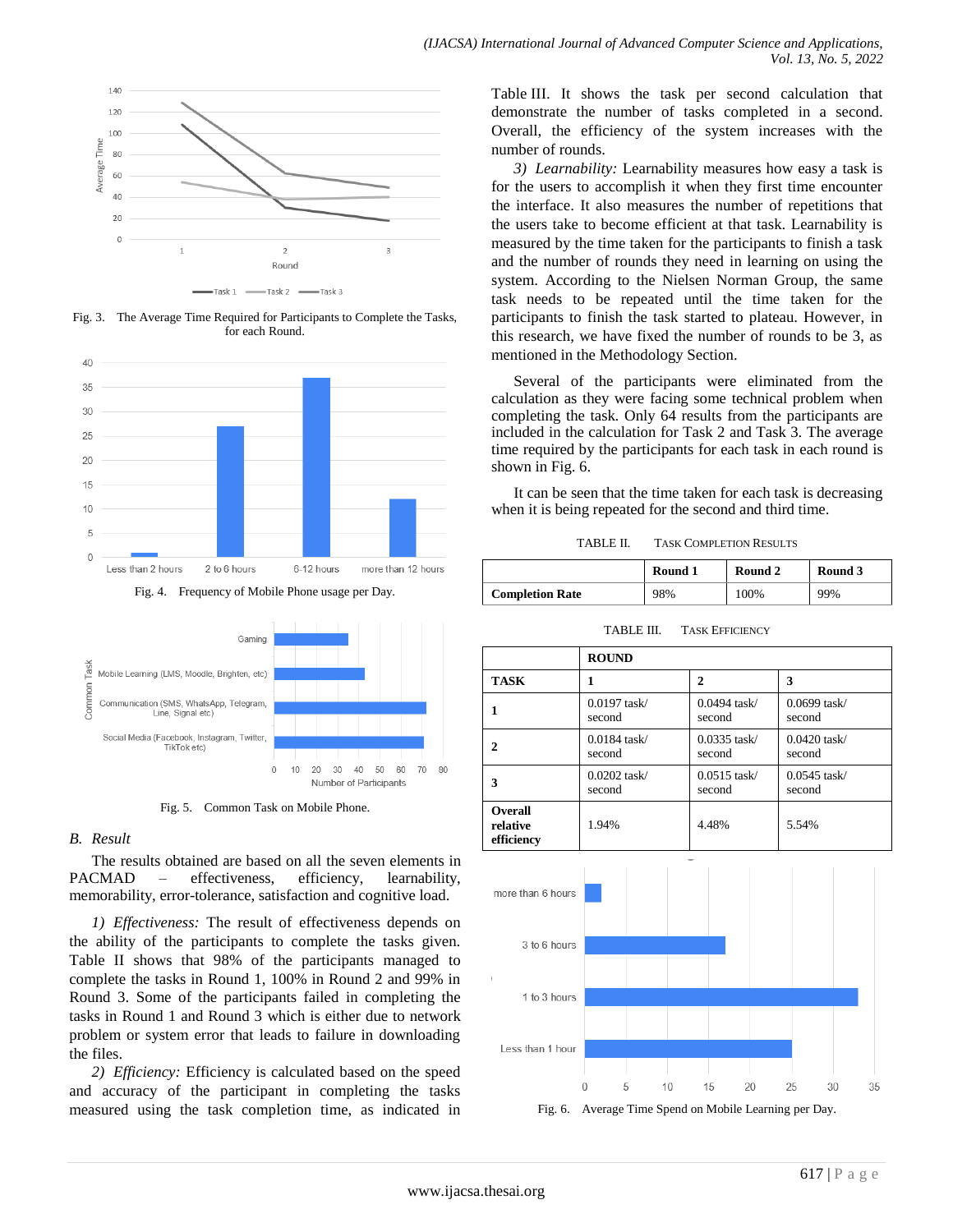

Fig. 3. The Average Time Required for Participants to Complete the Tasks, for each Round.







Fig. 5. Common Task on Mobile Phone.

# *B. Result*

The results obtained are based on all the seven elements in PACMAD – effectiveness, efficiency, learnability, memorability, error-tolerance, satisfaction and cognitive load.

*1) Effectiveness:* The result of effectiveness depends on the ability of the participants to complete the tasks given. Table II shows that 98% of the participants managed to complete the tasks in Round 1, 100% in Round 2 and 99% in Round 3. Some of the participants failed in completing the tasks in Round 1 and Round 3 which is either due to network problem or system error that leads to failure in downloading the files.

*2) Efficiency:* Efficiency is calculated based on the speed and accuracy of the participant in completing the tasks measured using the task completion time, as indicated in Table III. It shows the task per second calculation that demonstrate the number of tasks completed in a second. Overall, the efficiency of the system increases with the number of rounds.

*3) Learnability:* Learnability measures how easy a task is for the users to accomplish it when they first time encounter the interface. It also measures the number of repetitions that the users take to become efficient at that task. Learnability is measured by the time taken for the participants to finish a task and the number of rounds they need in learning on using the system. According to the Nielsen Norman Group, the same task needs to be repeated until the time taken for the participants to finish the task started to plateau. However, in this research, we have fixed the number of rounds to be 3, as mentioned in the Methodology Section.

Several of the participants were eliminated from the calculation as they were facing some technical problem when completing the task. Only 64 results from the participants are included in the calculation for Task 2 and Task 3. The average time required by the participants for each task in each round is shown in Fig. 6.

It can be seen that the time taken for each task is decreasing when it is being repeated for the second and third time.

| TABLE II. | <b>TASK COMPLETION RESULTS</b> |
|-----------|--------------------------------|
|           |                                |

|                        | Round 1 | Round 2 | Round 3 |  |
|------------------------|---------|---------|---------|--|
| <b>Completion Rate</b> | 98%     | 100%    | 99%     |  |

|                                          | <b>ROUND</b>   |                |                |  |  |
|------------------------------------------|----------------|----------------|----------------|--|--|
| <b>TASK</b>                              |                | $\mathbf{2}$   | 3              |  |  |
|                                          | $0.0197$ task/ | $0.0494$ task/ | $0.0699$ task/ |  |  |
|                                          | second         | second         | second         |  |  |
| 2                                        | $0.0184$ task/ | $0.0335$ task/ | $0.0420$ task/ |  |  |
|                                          | second         | second         | second         |  |  |
| 3                                        | $0.0202$ task/ | $0.0515$ task/ | $0.0545$ task/ |  |  |
|                                          | second         | second         | second         |  |  |
| <b>Overall</b><br>relative<br>efficiency | 1.94%          | 4.48%          | 5.54%          |  |  |



TABLE III. TASK EFFICIENCY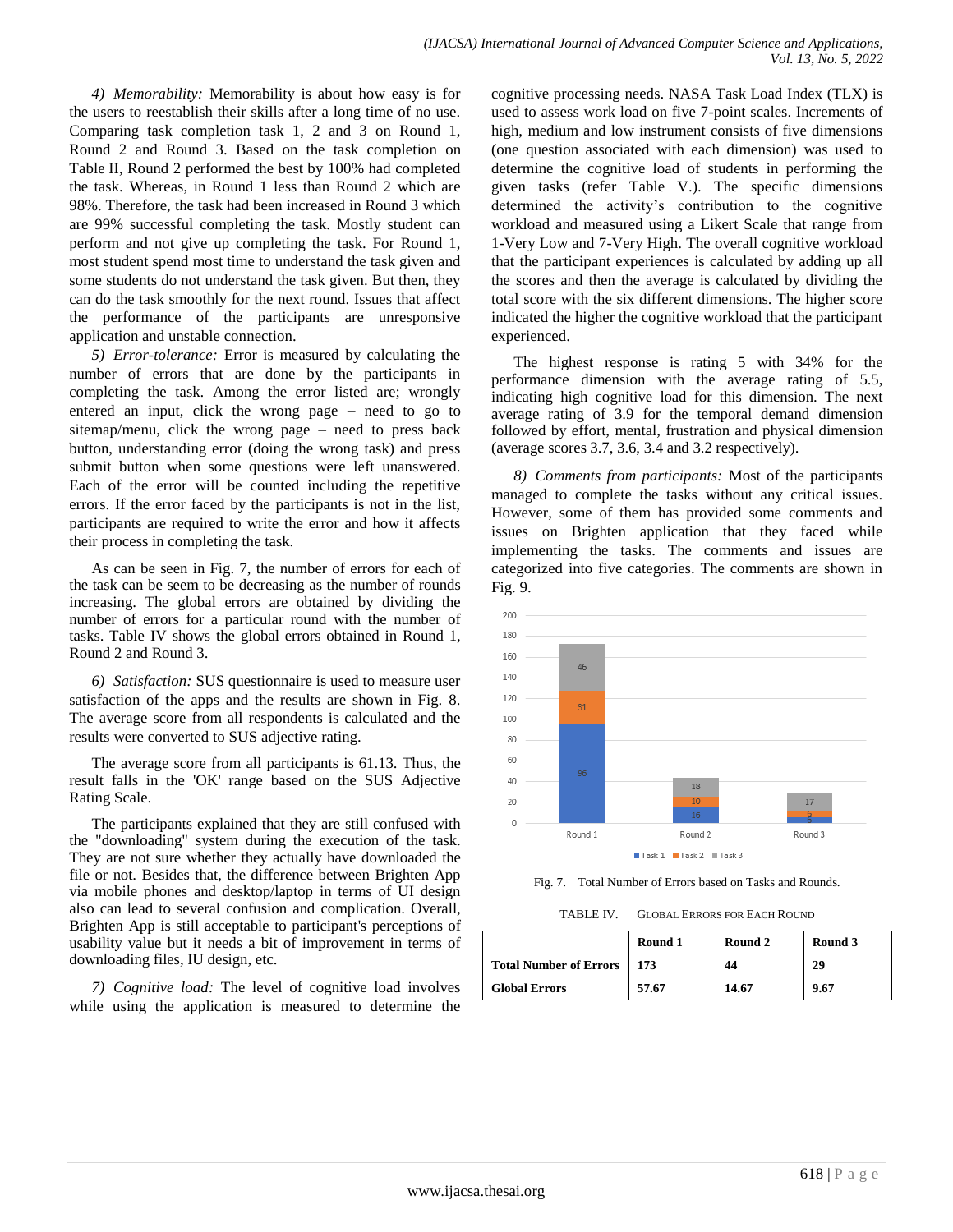*4) Memorability:* Memorability is about how easy is for the users to reestablish their skills after a long time of no use. Comparing task completion task 1, 2 and 3 on Round 1, Round 2 and Round 3. Based on the task completion on Table II, Round 2 performed the best by 100% had completed the task. Whereas, in Round 1 less than Round 2 which are 98%. Therefore, the task had been increased in Round 3 which are 99% successful completing the task. Mostly student can perform and not give up completing the task. For Round 1, most student spend most time to understand the task given and some students do not understand the task given. But then, they can do the task smoothly for the next round. Issues that affect the performance of the participants are unresponsive application and unstable connection.

*5) Error-tolerance:* Error is measured by calculating the number of errors that are done by the participants in completing the task. Among the error listed are; wrongly entered an input, click the wrong page – need to go to sitemap/menu, click the wrong page – need to press back button, understanding error (doing the wrong task) and press submit button when some questions were left unanswered. Each of the error will be counted including the repetitive errors. If the error faced by the participants is not in the list, participants are required to write the error and how it affects their process in completing the task.

As can be seen in Fig. 7, the number of errors for each of the task can be seem to be decreasing as the number of rounds increasing. The global errors are obtained by dividing the number of errors for a particular round with the number of tasks. Table IV shows the global errors obtained in Round 1, Round 2 and Round 3.

*6) Satisfaction:* SUS questionnaire is used to measure user satisfaction of the apps and the results are shown in Fig. 8. The average score from all respondents is calculated and the results were converted to SUS adjective rating.

The average score from all participants is 61.13. Thus, the result falls in the 'OK' range based on the SUS Adjective Rating Scale.

The participants explained that they are still confused with the "downloading" system during the execution of the task. They are not sure whether they actually have downloaded the file or not. Besides that, the difference between Brighten App via mobile phones and desktop/laptop in terms of UI design also can lead to several confusion and complication. Overall, Brighten App is still acceptable to participant's perceptions of usability value but it needs a bit of improvement in terms of downloading files, IU design, etc.

*7) Cognitive load:* The level of cognitive load involves while using the application is measured to determine the cognitive processing needs. NASA Task Load Index (TLX) is used to assess work load on five 7-point scales. Increments of high, medium and low instrument consists of five dimensions (one question associated with each dimension) was used to determine the cognitive load of students in performing the given tasks (refer Table V.). The specific dimensions determined the activity's contribution to the cognitive workload and measured using a Likert Scale that range from 1-Very Low and 7-Very High. The overall cognitive workload that the participant experiences is calculated by adding up all the scores and then the average is calculated by dividing the total score with the six different dimensions. The higher score indicated the higher the cognitive workload that the participant experienced.

The highest response is rating 5 with 34% for the performance dimension with the average rating of 5.5, indicating high cognitive load for this dimension. The next average rating of 3.9 for the temporal demand dimension followed by effort, mental, frustration and physical dimension (average scores 3.7, 3.6, 3.4 and 3.2 respectively).

*8) Comments from participants:* Most of the participants managed to complete the tasks without any critical issues. However, some of them has provided some comments and issues on Brighten application that they faced while implementing the tasks. The comments and issues are categorized into five categories. The comments are shown in Fig. 9.



Fig. 7. Total Number of Errors based on Tasks and Rounds.

TABLE IV. GLOBAL ERRORS FOR EACH ROUND

|                               | Round 1 | Round 2 | Round 3 |
|-------------------------------|---------|---------|---------|
| <b>Total Number of Errors</b> | 173     | 44      | 29      |
| <b>Global Errors</b>          | 57.67   | 14.67   | 9.67    |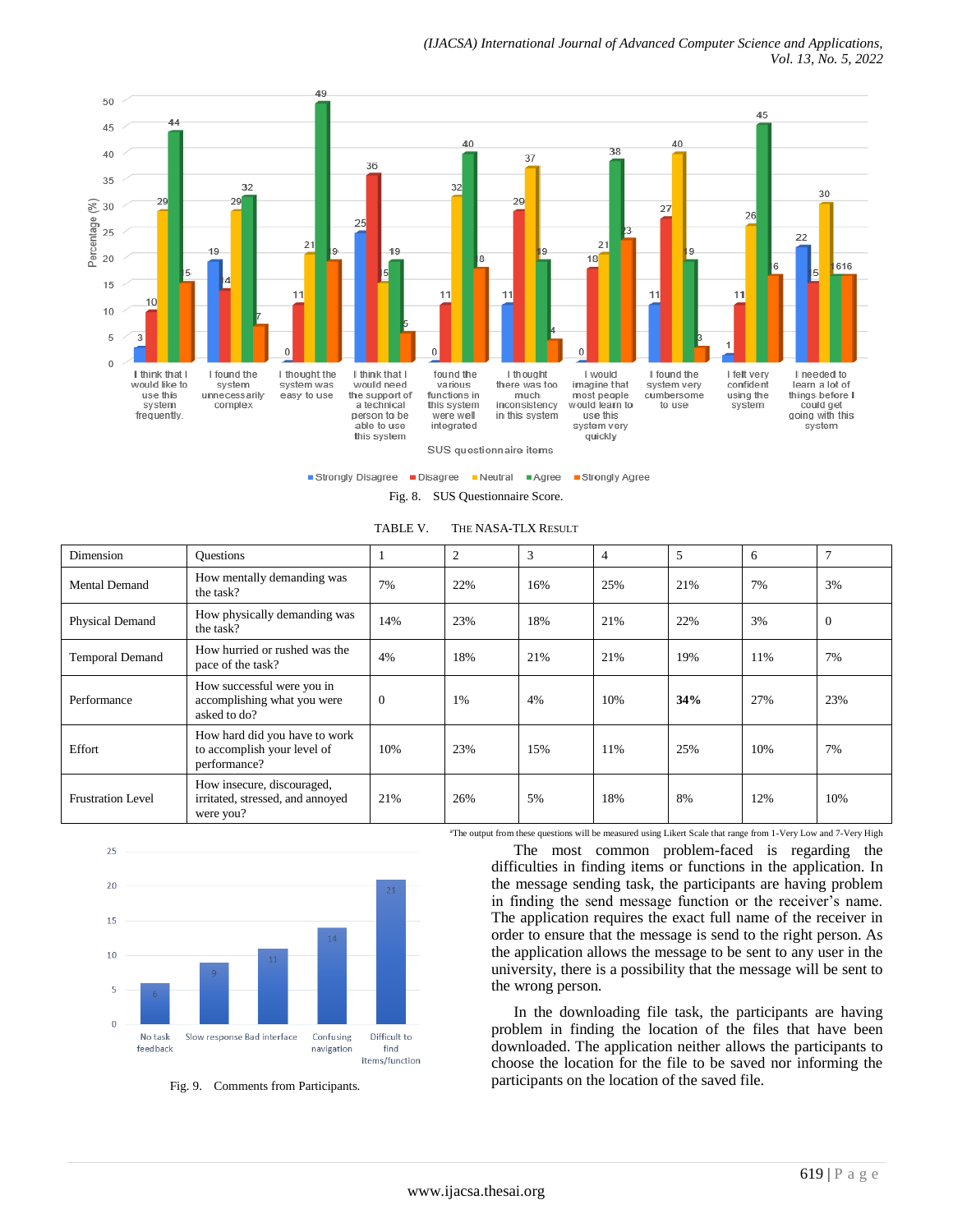

Strongly Disagree Disagree Neutral Agree Strongly Agree

Fig. 8. SUS Questionnaire Score.

TABLE V. THE NASA-TLX RESULT

| Dimension                | <b>Ouestions</b>                                                             |              | $\overline{2}$ | 3   | $\overline{4}$ | 5   | 6   | $\mathcal{I}$ |
|--------------------------|------------------------------------------------------------------------------|--------------|----------------|-----|----------------|-----|-----|---------------|
| Mental Demand            | How mentally demanding was<br>the task?                                      | 7%           | 22%            | 16% | 25%            | 21% | 7%  | 3%            |
| Physical Demand          | How physically demanding was<br>the task?                                    | 14%          | 23%            | 18% | 21%            | 22% | 3%  | $\mathbf{0}$  |
| <b>Temporal Demand</b>   | How hurried or rushed was the<br>pace of the task?                           | 4%           | 18%            | 21% | 21%            | 19% | 11% | 7%            |
| Performance              | How successful were you in<br>accomplishing what you were<br>asked to do?    | $\mathbf{0}$ | 1%             | 4%  | 10%            | 34% | 27% | 23%           |
| Effort                   | How hard did you have to work<br>to accomplish your level of<br>performance? | 10%          | 23%            | 15% | 11%            | 25% | 10% | 7%            |
| <b>Frustration Level</b> | How insecure, discouraged,<br>irritated, stressed, and annoyed<br>were you?  | 21%          | 26%            | 5%  | 18%            | 8%  | 12% | 10%           |



Fig. 9. Comments from Participants.

<sup>a</sup>The output from these questions will be measured using Likert Scale that range from 1-Very Low and 7-Very High

The most common problem-faced is regarding the difficulties in finding items or functions in the application. In the message sending task, the participants are having problem in finding the send message function or the receiver's name. The application requires the exact full name of the receiver in order to ensure that the message is send to the right person. As the application allows the message to be sent to any user in the university, there is a possibility that the message will be sent to the wrong person.

In the downloading file task, the participants are having problem in finding the location of the files that have been downloaded. The application neither allows the participants to choose the location for the file to be saved nor informing the participants on the location of the saved file.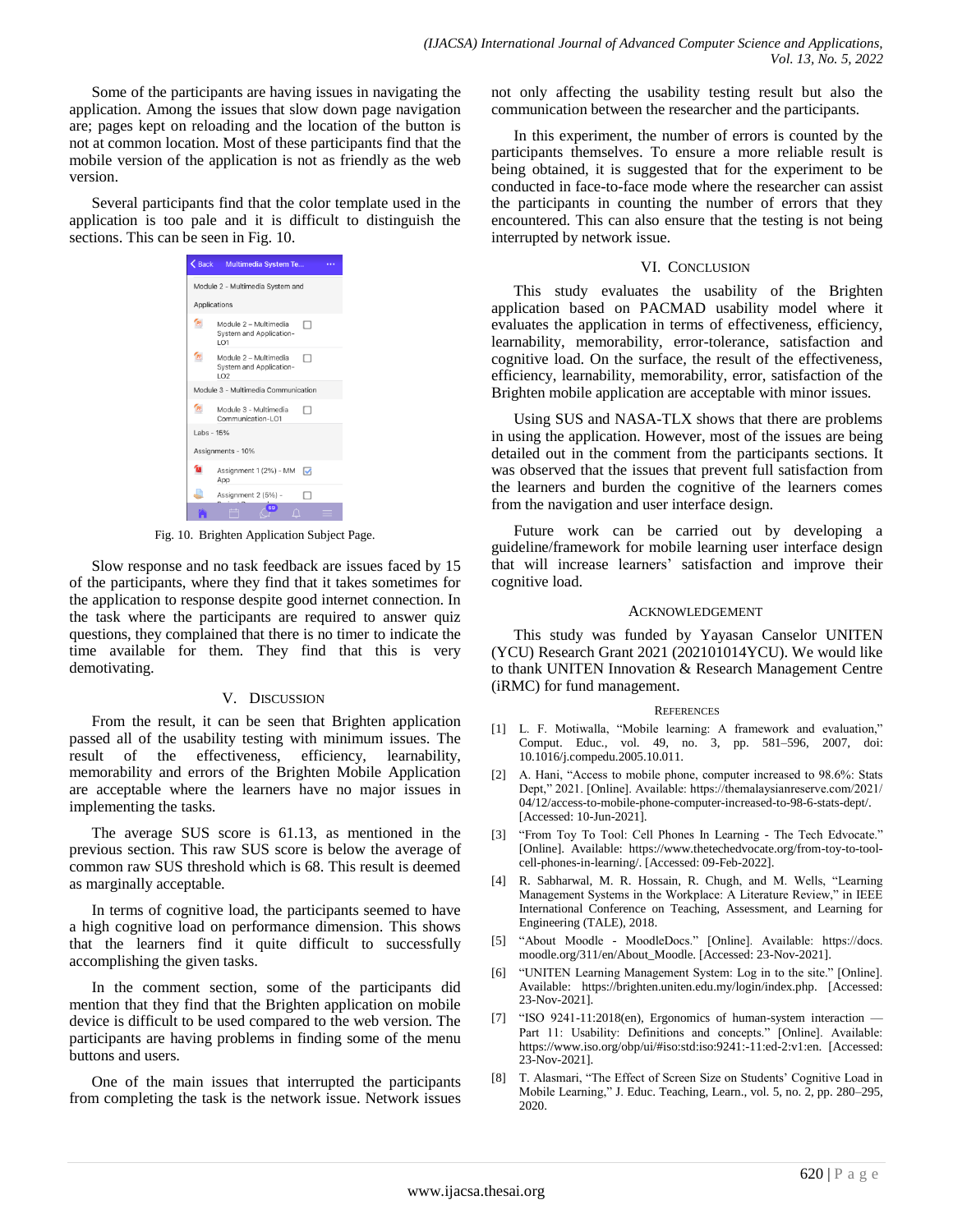Some of the participants are having issues in navigating the application. Among the issues that slow down page navigation are; pages kept on reloading and the location of the button is not at common location. Most of these participants find that the mobile version of the application is not as friendly as the web version.

Several participants find that the color template used in the application is too pale and it is difficult to distinguish the sections. This can be seen in Fig. 10.



Fig. 10. Brighten Application Subject Page.

Slow response and no task feedback are issues faced by 15 of the participants, where they find that it takes sometimes for the application to response despite good internet connection. In the task where the participants are required to answer quiz questions, they complained that there is no timer to indicate the time available for them. They find that this is very demotivating.

## V. DISCUSSION

From the result, it can be seen that Brighten application passed all of the usability testing with minimum issues. The result of the effectiveness, efficiency, learnability, memorability and errors of the Brighten Mobile Application are acceptable where the learners have no major issues in implementing the tasks.

The average SUS score is 61.13, as mentioned in the previous section. This raw SUS score is below the average of common raw SUS threshold which is 68. This result is deemed as marginally acceptable.

In terms of cognitive load, the participants seemed to have a high cognitive load on performance dimension. This shows that the learners find it quite difficult to successfully accomplishing the given tasks.

In the comment section, some of the participants did mention that they find that the Brighten application on mobile device is difficult to be used compared to the web version. The participants are having problems in finding some of the menu buttons and users.

One of the main issues that interrupted the participants from completing the task is the network issue. Network issues not only affecting the usability testing result but also the communication between the researcher and the participants.

In this experiment, the number of errors is counted by the participants themselves. To ensure a more reliable result is being obtained, it is suggested that for the experiment to be conducted in face-to-face mode where the researcher can assist the participants in counting the number of errors that they encountered. This can also ensure that the testing is not being interrupted by network issue.

### VI. CONCLUSION

This study evaluates the usability of the Brighten application based on PACMAD usability model where it evaluates the application in terms of effectiveness, efficiency, learnability, memorability, error-tolerance, satisfaction and cognitive load. On the surface, the result of the effectiveness, efficiency, learnability, memorability, error, satisfaction of the Brighten mobile application are acceptable with minor issues.

Using SUS and NASA-TLX shows that there are problems in using the application. However, most of the issues are being detailed out in the comment from the participants sections. It was observed that the issues that prevent full satisfaction from the learners and burden the cognitive of the learners comes from the navigation and user interface design.

Future work can be carried out by developing a guideline/framework for mobile learning user interface design that will increase learners' satisfaction and improve their cognitive load.

#### ACKNOWLEDGEMENT

This study was funded by Yayasan Canselor UNITEN (YCU) Research Grant 2021 (202101014YCU). We would like to thank UNITEN Innovation & Research Management Centre (iRMC) for fund management.

#### **REFERENCES**

- [1] L. F. Motiwalla, "Mobile learning: A framework and evaluation," Comput. Educ., vol. 49, no. 3, pp. 581–596, 2007, doi: 10.1016/j.compedu.2005.10.011.
- [2] A. Hani, "Access to mobile phone, computer increased to 98.6%: Stats Dept," 2021. [Online]. Available: https://themalaysianreserve.com/2021/ 04/12/access-to-mobile-phone-computer-increased-to-98-6-stats-dept/. [Accessed: 10-Jun-2021].
- [3] "From Toy To Tool: Cell Phones In Learning The Tech Edvocate." [Online]. Available: https://www.thetechedvocate.org/from-toy-to-toolcell-phones-in-learning/. [Accessed: 09-Feb-2022].
- [4] R. Sabharwal, M. R. Hossain, R. Chugh, and M. Wells, "Learning Management Systems in the Workplace: A Literature Review," in IEEE International Conference on Teaching, Assessment, and Learning for Engineering (TALE), 2018.
- [5] "About Moodle MoodleDocs." [Online]. Available: https://docs. moodle.org/311/en/About\_Moodle. [Accessed: 23-Nov-2021].
- [6] "UNITEN Learning Management System: Log in to the site." [Online]. Available: https://brighten.uniten.edu.my/login/index.php. [Accessed: 23-Nov-2021].
- [7] "ISO 9241-11:2018(en), Ergonomics of human-system interaction -Part 11: Usability: Definitions and concepts." [Online]. Available: https://www.iso.org/obp/ui/#iso:std:iso:9241:-11:ed-2:v1:en. [Accessed: 23-Nov-2021].
- T. Alasmari, "The Effect of Screen Size on Students' Cognitive Load in Mobile Learning," J. Educ. Teaching, Learn., vol. 5, no. 2, pp. 280-295, 2020.